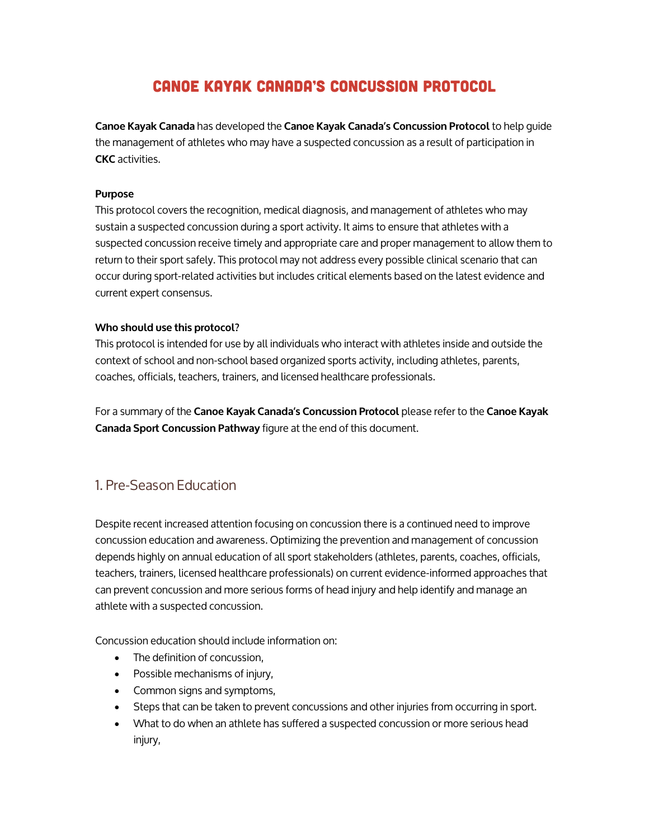# CANOE KAYAK CANADA'S CONCUSSION PROTOCOL

**Canoe Kayak Canada** has developed the **Canoe Kayak Canada's Concussion Protocol** to help guide the management of athletes who may have a suspected concussion as a result of participation in **CKC** activities.

#### **Purpose**

This protocol covers the recognition, medical diagnosis, and management of athletes who may sustain a suspected concussion during a sport activity. It aims to ensure that athletes with a suspected concussion receive timely and appropriate care and proper management to allow them to return to their sport safely. This protocol may not address every possible clinical scenario that can occur during sport-related activities but includes critical elements based on the latest evidence and current expert consensus.

#### **Who should use this protocol?**

This protocol is intended for use by all individuals who interact with athletes inside and outside the context of school and non-school based organized sports activity, including athletes, parents, coaches, officials, teachers, trainers, and licensed healthcare professionals.

For a summary of the **Canoe Kayak Canada's Concussion Protocol** please refer to the **Canoe Kayak Canada Sport Concussion Pathway** figure at the end of this document.

# 1. Pre-Season Education

Despite recent increased attention focusing on concussion there is a continued need to improve concussion education and awareness. Optimizing the prevention and management of concussion depends highly on annual education of all sport stakeholders (athletes, parents, coaches, officials, teachers, trainers, licensed healthcare professionals) on current evidence-informed approaches that can prevent concussion and more serious forms of head injury and help identify and manage an athlete with a suspected concussion.

Concussion education should include information on:

- The definition of concussion.
- Possible mechanisms of injury,
- Common signs and symptoms,
- Steps that can be taken to prevent concussions and other injuries from occurring in sport.
- What to do when an athlete has suffered a suspected concussion or more serious head injury,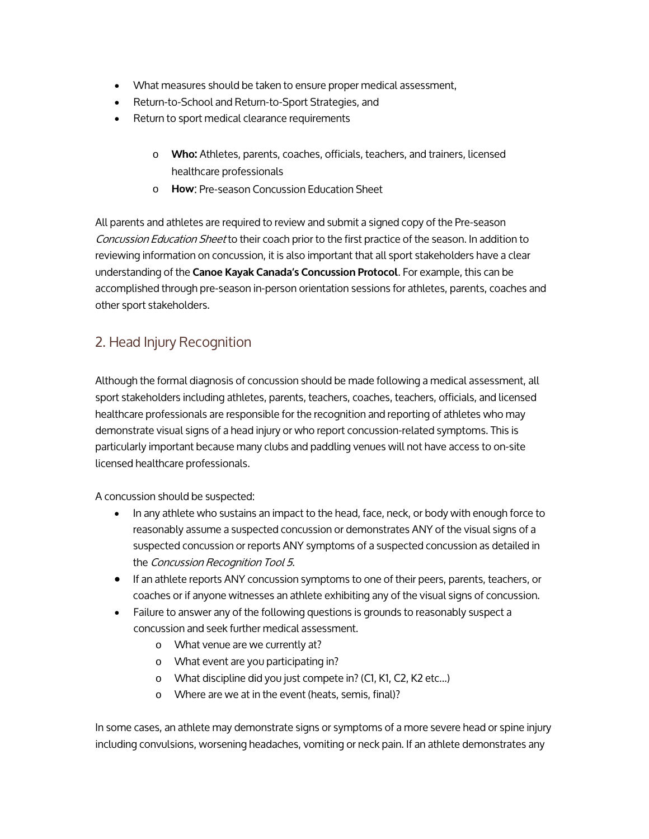- What measures should be taken to ensure proper medical assessment,
- Return-to-School and Return-to-Sport Strategies, and
- Return to sport medical clearance requirements
	- o **Who:** Athletes, parents, coaches, officials, teachers, and trainers, licensed healthcare professionals
	- o **How**: Pre-season Concussion Education Sheet

All parents and athletes are required to review and submit a signed copy of the Pre-season Concussion Education Sheet to their coach prior to the first practice of the season. In addition to reviewing information on concussion, it is also important that all sport stakeholders have a clear understanding of the **Canoe Kayak Canada's Concussion Protocol**. For example, this can be accomplished through pre-season in-person orientation sessions for athletes, parents, coaches and other sport stakeholders.

# 2. Head Injury Recognition

Although the formal diagnosis of concussion should be made following a medical assessment, all sport stakeholders including athletes, parents, teachers, coaches, teachers, officials, and licensed healthcare professionals are responsible for the recognition and reporting of athletes who may demonstrate visual signs of a head injury or who report concussion-related symptoms. This is particularly important because many clubs and paddling venues will not have access to on-site licensed healthcare professionals.

A concussion should be suspected:

- In any athlete who sustains an impact to the head, face, neck, or body with enough force to reasonably assume a suspected concussion or demonstrates ANY of the visual signs of a suspected concussion or reports ANY symptoms of a suspected concussion as detailed in the Concussion Recognition Tool 5.
- If an athlete reports ANY concussion symptoms to one of their peers, parents, teachers, or coaches or if anyone witnesses an athlete exhibiting any of the visual signs of concussion.
- Failure to answer any of the following questions is grounds to reasonably suspect a concussion and seek further medical assessment.
	- o What venue are we currently at?
	- o What event are you participating in?
	- o What discipline did you just compete in? (C1, K1, C2, K2 etc...)
	- o Where are we at in the event (heats, semis, final)?

In some cases, an athlete may demonstrate signs or symptoms of a more severe head or spine injury including convulsions, worsening headaches, vomiting or neck pain. If an athlete demonstrates any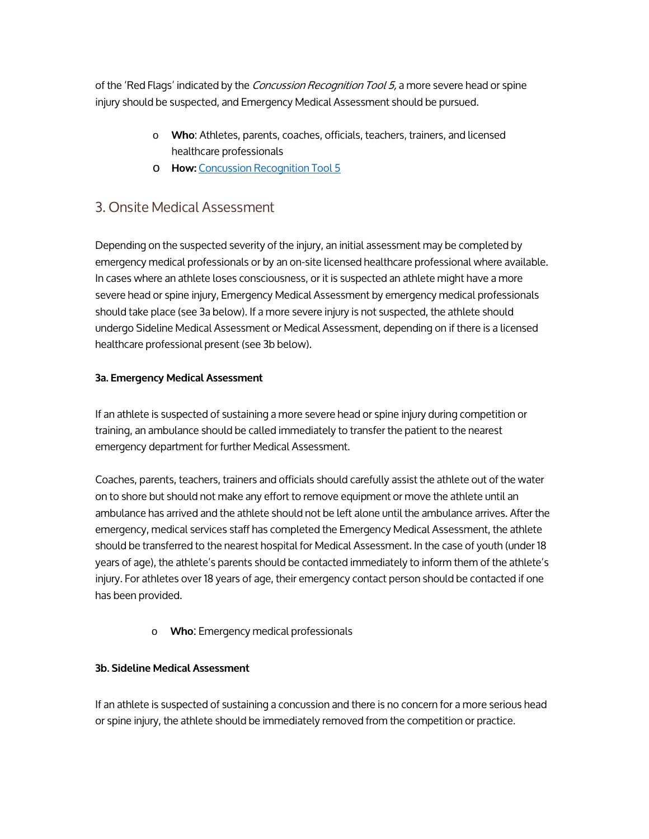of the 'Red Flags' indicated by the *Concussion Recognition Tool 5*, a more severe head or spine injury should be suspected, and Emergency Medical Assessment should be pursued.

- o **Who**: Athletes, parents, coaches, officials, teachers, trainers, and licensed healthcare professionals
- o **How:** [Concussion Recognition Tool 5](http://bjsm.bmj.com/content/bjsports/early/2017/04/26/bjsports-2017-097508CRT5.full.pdf)

### 3. Onsite Medical Assessment

Depending on the suspected severity of the injury, an initial assessment may be completed by emergency medical professionals or by an on-site licensed healthcare professional where available. In cases where an athlete loses consciousness, or it is suspected an athlete might have a more severe head or spine injury, Emergency Medical Assessment by emergency medical professionals should take place (see 3a below). If a more severe injury is not suspected, the athlete should undergo Sideline Medical Assessment or Medical Assessment, depending on if there is a licensed healthcare professional present (see 3b below).

#### **3a. Emergency Medical Assessment**

If an athlete is suspected of sustaining a more severe head or spine injury during competition or training, an ambulance should be called immediately to transfer the patient to the nearest emergency department for further Medical Assessment.

Coaches, parents, teachers, trainers and officials should carefully assist the athlete out of the water on to shore but should not make any effort to remove equipment or move the athlete until an ambulance has arrived and the athlete should not be left alone until the ambulance arrives. After the emergency, medical services staff has completed the Emergency Medical Assessment, the athlete should be transferred to the nearest hospital for Medical Assessment. In the case of youth (under 18 years of age), the athlete's parents should be contacted immediately to inform them of the athlete's injury. For athletes over 18 years of age, their emergency contact person should be contacted if one has been provided.

o **Who**: Emergency medical professionals

#### **3b. Sideline Medical Assessment**

If an athlete is suspected of sustaining a concussion and there is no concern for a more serious head or spine injury, the athlete should be immediately removed from the competition or practice.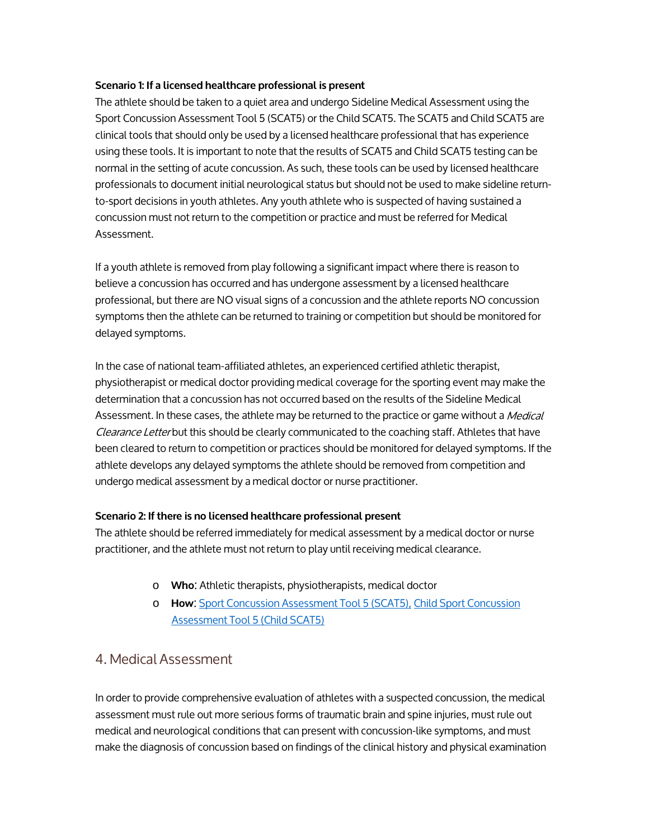#### **Scenario 1: If a licensed healthcare professional is present**

The athlete should be taken to a quiet area and undergo Sideline Medical Assessment using the Sport Concussion Assessment Tool 5 (SCAT5) or the Child SCAT5. The SCAT5 and Child SCAT5 are clinical tools that should only be used by a licensed healthcare professional that has experience using these tools. It is important to note that the results of SCAT5 and Child SCAT5 testing can be normal in the setting of acute concussion. As such, these tools can be used by licensed healthcare professionals to document initial neurological status but should not be used to make sideline returnto-sport decisions in youth athletes. Any youth athlete who is suspected of having sustained a concussion must not return to the competition or practice and must be referred for Medical Assessment.

If a youth athlete is removed from play following a significant impact where there is reason to believe a concussion has occurred and has undergone assessment by a licensed healthcare professional, but there are NO visual signs of a concussion and the athlete reports NO concussion symptoms then the athlete can be returned to training or competition but should be monitored for delayed symptoms.

In the case of national team-affiliated athletes, an experienced certified athletic therapist, physiotherapist or medical doctor providing medical coverage for the sporting event may make the determination that a concussion has not occurred based on the results of the Sideline Medical Assessment. In these cases, the athlete may be returned to the practice or game without a *Medical* Clearance Letter but this should be clearly communicated to the coaching staff. Athletes that have been cleared to return to competition or practices should be monitored for delayed symptoms. If the athlete develops any delayed symptoms the athlete should be removed from competition and undergo medical assessment by a medical doctor or nurse practitioner.

#### **Scenario 2: If there is no licensed healthcare professional present**

The athlete should be referred immediately for medical assessment by a medical doctor or nurse practitioner, and the athlete must not return to play until receiving medical clearance.

- o **Who**: Athletic therapists, physiotherapists, medical doctor
- o **How**: [Sport Concussion Assessment Tool 5 \(SCAT5\),](http://bjsm.bmj.com/content/bjsports/early/2017/04/26/bjsports-2017-097506SCAT5.full.pdf) [Child Sport Concussion](http://bjsm.bmj.com/content/bjsports/51/11/862.full.pdf)  [Assessment Tool 5 \(Child SCAT5\)](http://bjsm.bmj.com/content/bjsports/51/11/862.full.pdf)

## 4. Medical Assessment

In order to provide comprehensive evaluation of athletes with a suspected concussion, the medical assessment must rule out more serious forms of traumatic brain and spine injuries, must rule out medical and neurological conditions that can present with concussion-like symptoms, and must make the diagnosis of concussion based on findings of the clinical history and physical examination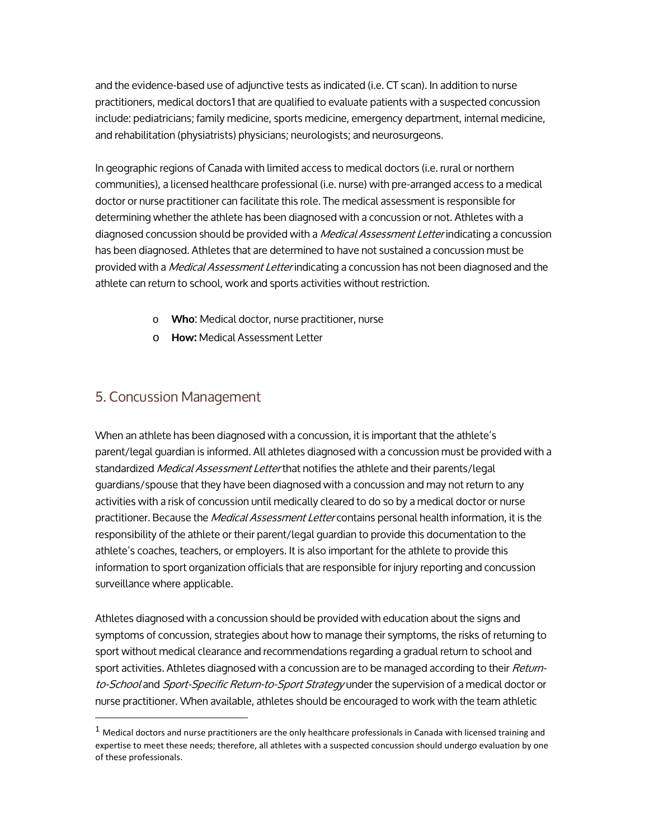and the evidence-based use of adjunctive tests as indicated (i.e. CT scan). In addition to nurse practitioners, medical doctors[1](#page-4-0) that are qualified to evaluate patients with a suspected concussion include: pediatricians; family medicine, sports medicine, emergency department, internal medicine, and rehabilitation (physiatrists) physicians; neurologists; and neurosurgeons.

In geographic regions of Canada with limited access to medical doctors (i.e. rural or northern communities), a licensed healthcare professional (i.e. nurse) with pre-arranged access to a medical doctor or nurse practitioner can facilitate this role. The medical assessment is responsible for determining whether the athlete has been diagnosed with a concussion or not. Athletes with a diagnosed concussion should be provided with a *Medical Assessment Letter* indicating a concussion has been diagnosed. Athletes that are determined to have not sustained a concussion must be provided with a *Medical Assessment Letter* indicating a concussion has not been diagnosed and the athlete can return to school, work and sports activities without restriction.

- o **Who**: Medical doctor, nurse practitioner, nurse
- o **How:** Medical Assessment Letter

### 5. Concussion Management

When an athlete has been diagnosed with a concussion, it is important that the athlete's parent/legal guardian is informed. All athletes diagnosed with a concussion must be provided with a standardized *Medical Assessment Letter* that notifies the athlete and their parents/legal guardians/spouse that they have been diagnosed with a concussion and may not return to any activities with a risk of concussion until medically cleared to do so by a medical doctor or nurse practitioner. Because the *Medical Assessment Letter* contains personal health information, it is the responsibility of the athlete or their parent/legal guardian to provide this documentation to the athlete's coaches, teachers, or employers. It is also important for the athlete to provide this information to sport organization officials that are responsible for injury reporting and concussion surveillance where applicable.

Athletes diagnosed with a concussion should be provided with education about the signs and symptoms of concussion, strategies about how to manage their symptoms, the risks of returning to sport without medical clearance and recommendations regarding a gradual return to school and sport activities. Athletes diagnosed with a concussion are to be managed according to their Returnto-School and Sport-Specific Return-to-Sport Strategy under the supervision of a medical doctor or nurse practitioner. When available, athletes should be encouraged to work with the team athletic

<span id="page-4-0"></span> $1$  Medical doctors and nurse practitioners are the only healthcare professionals in Canada with licensed training and expertise to meet these needs; therefore, all athletes with a suspected concussion should undergo evaluation by one of these professionals.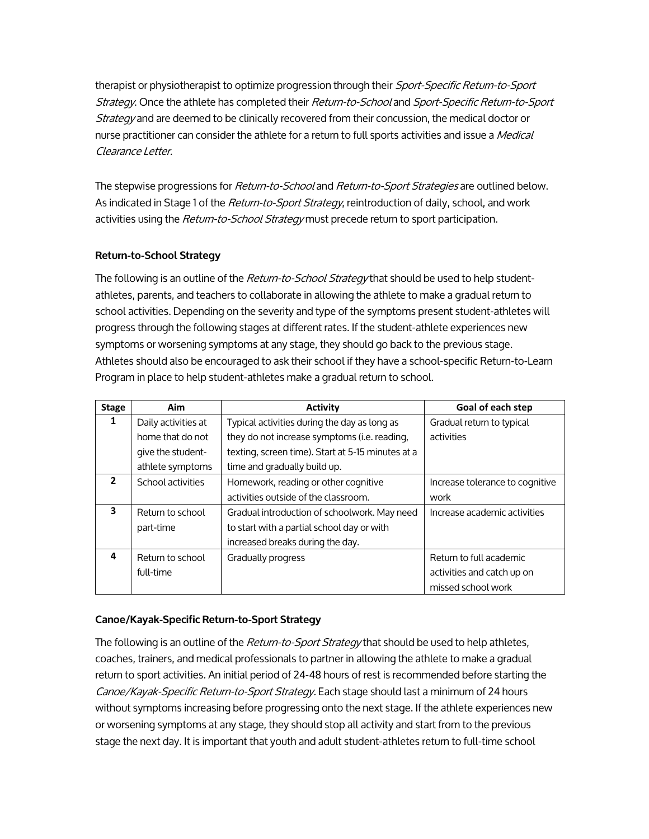therapist or physiotherapist to optimize progression through their Sport-Specific Return-to-Sport Strategy. Once the athlete has completed their Return-to-School and Sport-Specific Return-to-Sport Strategy and are deemed to be clinically recovered from their concussion, the medical doctor or nurse practitioner can consider the athlete for a return to full sports activities and issue a Medical Clearance Letter.

The stepwise progressions for *Return-to-School* and *Return-to-Sport Strategies* are outlined below. As indicated in Stage 1 of the Return-to-Sport Strategy, reintroduction of daily, school, and work activities using the Return-to-School Strategy must precede return to sport participation.

#### **Return-to-School Strategy**

The following is an outline of the Return-to-School Strategy that should be used to help studentathletes, parents, and teachers to collaborate in allowing the athlete to make a gradual return to school activities. Depending on the severity and type of the symptoms present student-athletes will progress through the following stages at different rates. If the student-athlete experiences new symptoms or worsening symptoms at any stage, they should go back to the previous stage. Athletes should also be encouraged to ask their school if they have a school-specific Return-to-Learn Program in place to help student-athletes make a gradual return to school.

| <b>Stage</b>   | <b>Aim</b>          | <b>Activity</b>                                   | Goal of each step               |
|----------------|---------------------|---------------------------------------------------|---------------------------------|
| 1              | Daily activities at | Typical activities during the day as long as      | Gradual return to typical       |
|                | home that do not    | they do not increase symptoms (i.e. reading,      | activities                      |
|                | give the student-   | texting, screen time). Start at 5-15 minutes at a |                                 |
|                | athlete symptoms    | time and gradually build up.                      |                                 |
| $\overline{2}$ | School activities   | Homework, reading or other cognitive              | Increase tolerance to cognitive |
|                |                     | activities outside of the classroom.              | work                            |
| 3              | Return to school    | Gradual introduction of schoolwork. May need      | Increase academic activities    |
|                | part-time           | to start with a partial school day or with        |                                 |
|                |                     | increased breaks during the day.                  |                                 |
| 4              | Return to school    | Gradually progress                                | Return to full academic         |
|                | full-time           |                                                   | activities and catch up on      |
|                |                     |                                                   | missed school work              |

#### **Canoe/Kayak-Specific Return-to-Sport Strategy**

The following is an outline of the *Return-to-Sport Strategy* that should be used to help athletes, coaches, trainers, and medical professionals to partner in allowing the athlete to make a gradual return to sport activities. An initial period of 24-48 hours of rest is recommended before starting the Canoe/Kayak-Specific Return-to-Sport Strategy. Each stage should last a minimum of 24 hours without symptoms increasing before progressing onto the next stage. If the athlete experiences new or worsening symptoms at any stage, they should stop all activity and start from to the previous stage the next day. It is important that youth and adult student-athletes return to full-time school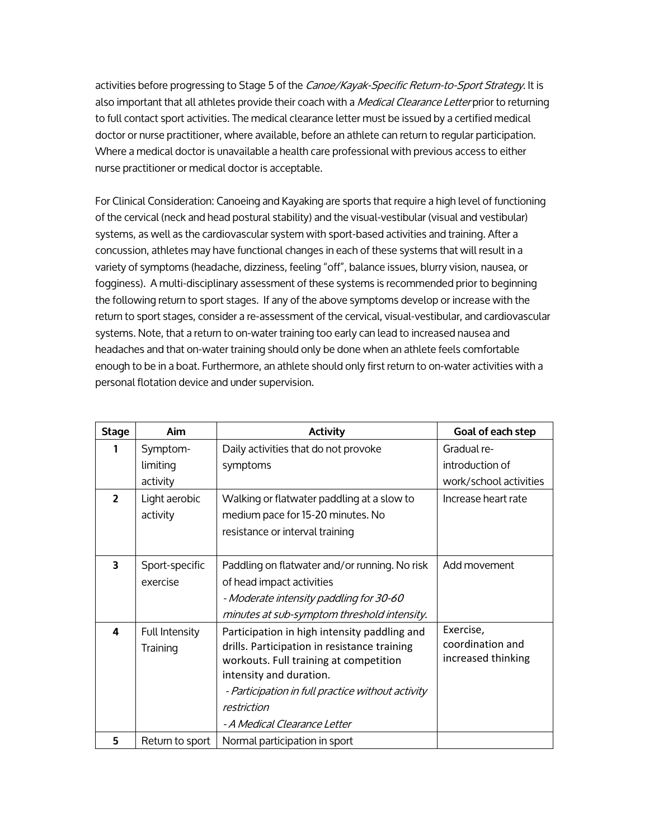activities before progressing to Stage 5 of the Canoe/Kayak-Specific Return-to-Sport Strategy. It is also important that all athletes provide their coach with a *Medical Clearance Letter* prior to returning to full contact sport activities. The medical clearance letter must be issued by a certified medical doctor or nurse practitioner, where available, before an athlete can return to regular participation. Where a medical doctor is unavailable a health care professional with previous access to either nurse practitioner or medical doctor is acceptable.

For Clinical Consideration: Canoeing and Kayaking are sports that require a high level of functioning of the cervical (neck and head postural stability) and the visual-vestibular (visual and vestibular) systems, as well as the cardiovascular system with sport-based activities and training. After a concussion, athletes may have functional changes in each of these systems that will result in a variety of symptoms (headache, dizziness, feeling "off", balance issues, blurry vision, nausea, or fogginess). A multi-disciplinary assessment of these systems is recommended prior to beginning the following return to sport stages. If any of the above symptoms develop or increase with the return to sport stages, consider a re-assessment of the cervical, visual-vestibular, and cardiovascular systems. Note, that a return to on-water training too early can lead to increased nausea and headaches and that on-water training should only be done when an athlete feels comfortable enough to be in a boat. Furthermore, an athlete should only first return to on-water activities with a personal flotation device and under supervision.

| <b>Stage</b>             | Aim                        | <b>Activity</b>                                                                                                                                                                                                                                                       | Goal of each step                                   |
|--------------------------|----------------------------|-----------------------------------------------------------------------------------------------------------------------------------------------------------------------------------------------------------------------------------------------------------------------|-----------------------------------------------------|
| 1                        | Symptom-                   | Daily activities that do not provoke                                                                                                                                                                                                                                  | Gradual re-                                         |
|                          | limiting                   | symptoms                                                                                                                                                                                                                                                              | introduction of                                     |
|                          | activity                   |                                                                                                                                                                                                                                                                       | work/school activities                              |
| $\overline{\phantom{a}}$ | Light aerobic<br>activity  | Walking or flatwater paddling at a slow to<br>medium pace for 15-20 minutes. No                                                                                                                                                                                       | Increase heart rate                                 |
|                          |                            | resistance or interval training                                                                                                                                                                                                                                       |                                                     |
| 3                        | Sport-specific<br>exercise | Paddling on flatwater and/or running. No risk<br>of head impact activities<br>- Moderate intensity paddling for 30-60<br>minutes at sub-symptom threshold intensity.                                                                                                  | Add movement                                        |
| 4                        | Full Intensity<br>Training | Participation in high intensity paddling and<br>drills. Participation in resistance training<br>workouts. Full training at competition<br>intensity and duration.<br>- Participation in full practice without activity<br>restriction<br>- A Medical Clearance Letter | Exercise,<br>coordination and<br>increased thinking |
| 5                        | Return to sport            | Normal participation in sport                                                                                                                                                                                                                                         |                                                     |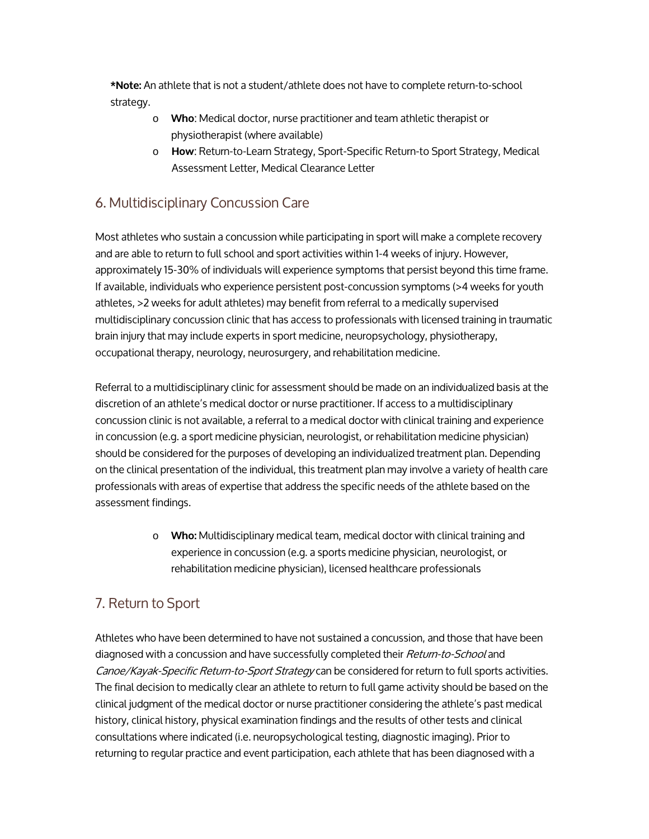**\*Note:** An athlete that is not a student/athlete does not have to complete return-to-school strategy.

- o **Who**: Medical doctor, nurse practitioner and team athletic therapist or physiotherapist (where available)
- o **How**: Return-to-Learn Strategy, Sport-Specific Return-to Sport Strategy, Medical Assessment Letter, Medical Clearance Letter

## 6. Multidisciplinary Concussion Care

Most athletes who sustain a concussion while participating in sport will make a complete recovery and are able to return to full school and sport activities within 1-4 weeks of injury. However, approximately 15-30% of individuals will experience symptoms that persist beyond this time frame. If available, individuals who experience persistent post-concussion symptoms (>4 weeks for youth athletes, >2 weeks for adult athletes) may benefit from referral to a medically supervised multidisciplinary concussion clinic that has access to professionals with licensed training in traumatic brain injury that may include experts in sport medicine, neuropsychology, physiotherapy, occupational therapy, neurology, neurosurgery, and rehabilitation medicine.

Referral to a multidisciplinary clinic for assessment should be made on an individualized basis at the discretion of an athlete's medical doctor or nurse practitioner. If access to a multidisciplinary concussion clinic is not available, a referral to a medical doctor with clinical training and experience in concussion (e.g. a sport medicine physician, neurologist, or rehabilitation medicine physician) should be considered for the purposes of developing an individualized treatment plan. Depending on the clinical presentation of the individual, this treatment plan may involve a variety of health care professionals with areas of expertise that address the specific needs of the athlete based on the assessment findings.

> o **Who:** Multidisciplinary medical team, medical doctor with clinical training and experience in concussion (e.g. a sports medicine physician, neurologist, or rehabilitation medicine physician), licensed healthcare professionals

# 7. Return to Sport

Athletes who have been determined to have not sustained a concussion, and those that have been diagnosed with a concussion and have successfully completed their Return-to-School and Canoe/Kayak-Specific Return-to-Sport Strategy can be considered for return to full sports activities. The final decision to medically clear an athlete to return to full game activity should be based on the clinical judgment of the medical doctor or nurse practitioner considering the athlete's past medical history, clinical history, physical examination findings and the results of other tests and clinical consultations where indicated (i.e. neuropsychological testing, diagnostic imaging). Prior to returning to regular practice and event participation, each athlete that has been diagnosed with a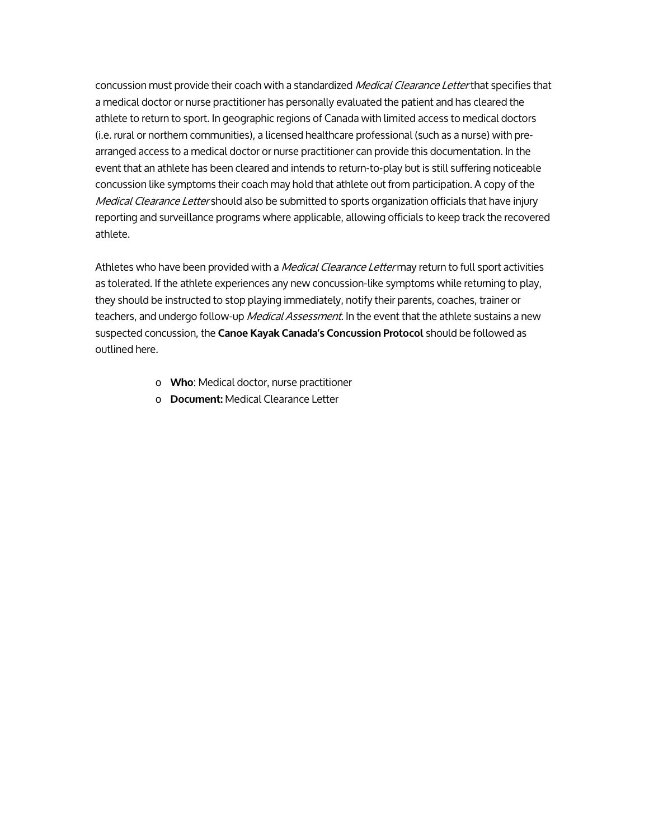concussion must provide their coach with a standardized Medical Clearance Letter that specifies that a medical doctor or nurse practitioner has personally evaluated the patient and has cleared the athlete to return to sport. In geographic regions of Canada with limited access to medical doctors (i.e. rural or northern communities), a licensed healthcare professional (such as a nurse) with prearranged access to a medical doctor or nurse practitioner can provide this documentation. In the event that an athlete has been cleared and intends to return-to-play but is still suffering noticeable concussion like symptoms their coach may hold that athlete out from participation. A copy of the Medical Clearance Letter should also be submitted to sports organization officials that have injury reporting and surveillance programs where applicable, allowing officials to keep track the recovered athlete.

Athletes who have been provided with a *Medical Clearance Letter* may return to full sport activities as tolerated. If the athlete experiences any new concussion-like symptoms while returning to play, they should be instructed to stop playing immediately, notify their parents, coaches, trainer or teachers, and undergo follow-up *Medical Assessment*. In the event that the athlete sustains a new suspected concussion, the **Canoe Kayak Canada's Concussion Protocol** should be followed as outlined here.

- o **Who**: Medical doctor, nurse practitioner
- o **Document:** Medical Clearance Letter